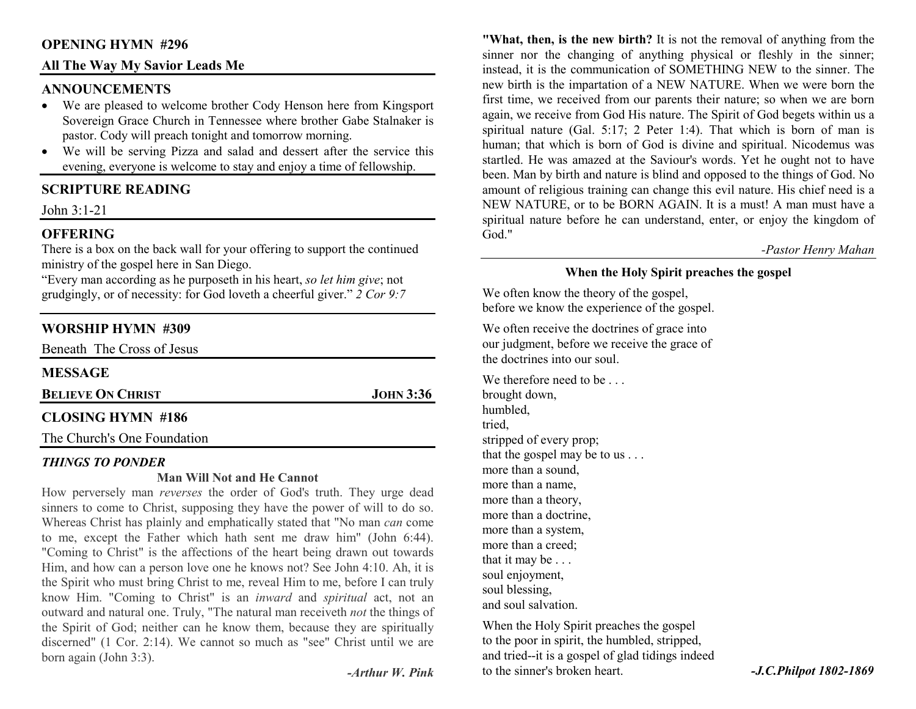# **OPENING HYMN #296**

# **All The Way My Savior Leads Me**

#### **ANNOUNCEMENTS**

- We are pleased to welcome brother Cody Henson here from Kingsport Sovereign Grace Church in Tennessee where brother Gabe Stalnaker is pastor. Cody will preach tonight and tomorrow morning.
- We will be serving Pizza and salad and dessert after the service this •evening, everyone is welcome to stay and enjoy a time of fellowship.

# **SCRIPTURE READING**

John 3:1-21

# **OFFERING**

 There is a box on the back wall for your offering to support the continued ministry of the gospel here in San Diego.

 "Every man according as he purposeth in his heart, *so let him give*; not grudgingly, or of necessity: for God loveth a cheerful giver." *2 Cor 9:7*

# **WORSHIP HYMN #309**

| Beneath The Cross of Jesus |                  |
|----------------------------|------------------|
| <b>MESSAGE</b>             |                  |
| <b>BELIEVE ON CHRIST</b>   | <b>JOHN 3:36</b> |
| <b>CLOSING HYMN #186</b>   |                  |
|                            |                  |

The Church's One Foundation

#### *THINGS TO PONDER*

#### **Man Will Not and He Cannot**

 How perversely man *reverses* the order of God's truth. They urge dead sinners to come to Christ, supposing they have the power of will to do so. Whereas Christ has plainly and emphatically stated that "No man *can* come to me, except the Father which hath sent me draw him" (John 6:44). "Coming to Christ" is the affections of the heart being drawn out towards Him, and how can a person love one he knows not? See John 4:10. Ah, it is the Spirit who must bring Christ to me, reveal Him to me, before I can truly know Him. "Coming to Christ" is an *inward* and *spiritual* act, not an outward and natural one. Truly, "The natural man receiveth *not* the things of the Spirit of God; neither can he know them, because they are spiritually discerned" (1 Cor. 2:14). We cannot so much as "see" Christ until we are born again (John 3:3).

**"What, then, is the new birth?** It is not the removal of anything from the sinner nor the changing of anything physical or fleshly in the sinner; instead, it is the communication of SOMETHING NEW to the sinner. The new birth is the impartation of a NEW NATURE. When we were born the first time, we received from our parents their nature; so when we are born again, we receive from God His nature. The Spirit of God begets within us a spiritual nature (Gal. 5:17; 2 Peter 1:4). That which is born of man is human; that which is born of God is divine and spiritual. Nicodemus was startled. He was amazed at the Saviour's words. Yet he ought not to have been. Man by birth and nature is blind and opposed to the things of God. No amount of religious training can change this evil nature. His chief need is a NEW NATURE, or to be BORN AGAIN. It is a must! A man must have a spiritual nature before he can understand, enter, or enjoy the kingdom of God."

*-Pastor Henry Mahan* 

# **When the Holy Spirit preaches the gospel**

We often know the theory of the gospel, before we know the experience of the gospel.

We often receive the doctrines of grace into our judgment, before we receive the grace of the doctrines into our soul.

We therefore need to be brought down, humbled, tried, stripped of every prop; that the gospel may be to us . . . more than a sound, more than a name, more than a theory, more than a doctrine, more than a system, more than a creed; that it may be . . . soul enjoyment, soul blessing, and soul salvation.

When the Holy Spirit preaches the gospel to the poor in spirit, the humbled, stripped, and tried--it is a gospel of glad tidings indeed to the sinner's broken heart. *-J.C.Philpot 1802-1869*